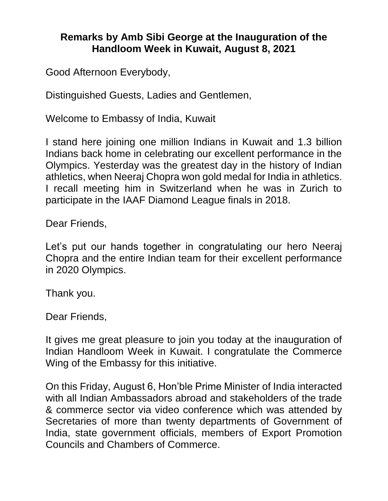## **Remarks by Amb Sibi George at the Inauguration of the Handloom Week in Kuwait, August 8, 2021**

Good Afternoon Everybody,

Distinguished Guests, Ladies and Gentlemen,

Welcome to Embassy of India, Kuwait

I stand here joining one million Indians in Kuwait and 1.3 billion Indians back home in celebrating our excellent performance in the Olympics. Yesterday was the greatest day in the history of Indian athletics, when Neeraj Chopra won gold medal for India in athletics. I recall meeting him in Switzerland when he was in Zurich to participate in the IAAF Diamond League finals in 2018.

Dear Friends,

Let's put our hands together in congratulating our hero Neeraj Chopra and the entire Indian team for their excellent performance in 2020 Olympics.

Thank you.

Dear Friends,

It gives me great pleasure to join you today at the inauguration of Indian Handloom Week in Kuwait. I congratulate the Commerce Wing of the Embassy for this initiative.

On this Friday, August 6, Hon'ble Prime Minister of India interacted with all Indian Ambassadors abroad and stakeholders of the trade & commerce sector via video conference which was attended by Secretaries of more than twenty departments of Government of India, state government officials, members of Export Promotion Councils and Chambers of Commerce.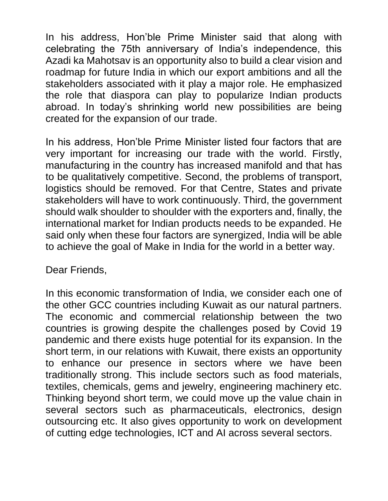In his address, Hon'ble Prime Minister said that along with celebrating the 75th anniversary of India's independence, this Azadi ka Mahotsav is an opportunity also to build a clear vision and roadmap for future India in which our export ambitions and all the stakeholders associated with it play a major role. He emphasized the role that diaspora can play to popularize Indian products abroad. In today's shrinking world new possibilities are being created for the expansion of our trade.

In his address, Hon'ble Prime Minister listed four factors that are very important for increasing our trade with the world. Firstly, manufacturing in the country has increased manifold and that has to be qualitatively competitive. Second, the problems of transport, logistics should be removed. For that Centre, States and private stakeholders will have to work continuously. Third, the government should walk shoulder to shoulder with the exporters and, finally, the international market for Indian products needs to be expanded. He said only when these four factors are synergized, India will be able to achieve the goal of Make in India for the world in a better way.

Dear Friends,

In this economic transformation of India, we consider each one of the other GCC countries including Kuwait as our natural partners. The economic and commercial relationship between the two countries is growing despite the challenges posed by Covid 19 pandemic and there exists huge potential for its expansion. In the short term, in our relations with Kuwait, there exists an opportunity to enhance our presence in sectors where we have been traditionally strong. This include sectors such as food materials, textiles, chemicals, gems and jewelry, engineering machinery etc. Thinking beyond short term, we could move up the value chain in several sectors such as pharmaceuticals, electronics, design outsourcing etc. It also gives opportunity to work on development of cutting edge technologies, ICT and AI across several sectors.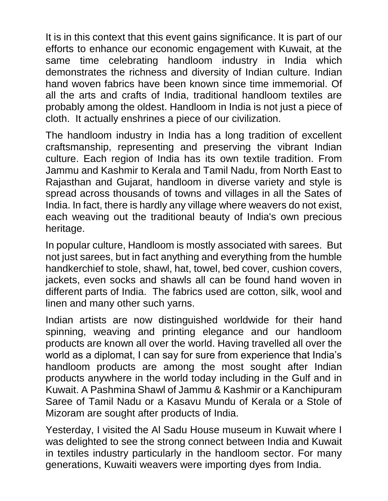It is in this context that this event gains significance. It is part of our efforts to enhance our economic engagement with Kuwait, at the same time celebrating handloom industry in India which demonstrates the richness and diversity of Indian culture. Indian hand woven fabrics have been known since time immemorial. Of all the arts and crafts of India, traditional handloom textiles are probably among the oldest. Handloom in India is not just a piece of cloth. It actually enshrines a piece of our civilization.

The handloom industry in India has a long tradition of excellent craftsmanship, representing and preserving the vibrant Indian culture. Each region of India has its own textile tradition. From Jammu and Kashmir to Kerala and Tamil Nadu, from North East to Rajasthan and Gujarat, handloom in diverse variety and style is spread across thousands of towns and villages in all the Sates of India. In fact, there is hardly any village where weavers do not exist, each weaving out the traditional beauty of India's own precious heritage.

In popular culture, Handloom is mostly associated with sarees. But not just sarees, but in fact anything and everything from the humble handkerchief to stole, shawl, hat, towel, bed cover, cushion covers, jackets, even socks and shawls all can be found hand woven in different parts of India. The fabrics used are cotton, silk, wool and linen and many other such yarns.

Indian artists are now distinguished worldwide for their hand spinning, weaving and printing elegance and our handloom products are known all over the world. Having travelled all over the world as a diplomat, I can say for sure from experience that India's handloom products are among the most sought after Indian products anywhere in the world today including in the Gulf and in Kuwait. A Pashmina Shawl of Jammu & Kashmir or a Kanchipuram Saree of Tamil Nadu or a Kasavu Mundu of Kerala or a Stole of Mizoram are sought after products of India.

Yesterday, I visited the Al Sadu House museum in Kuwait where I was delighted to see the strong connect between India and Kuwait in textiles industry particularly in the handloom sector. For many generations, Kuwaiti weavers were importing dyes from India.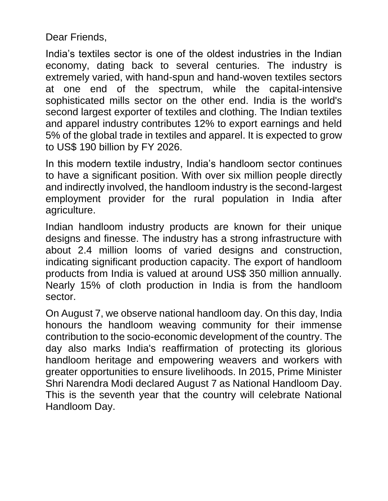Dear Friends,

India's textiles sector is one of the oldest industries in the Indian economy, dating back to several centuries. The industry is extremely varied, with hand-spun and hand-woven textiles sectors at one end of the spectrum, while the capital-intensive sophisticated mills sector on the other end. India is the world's second largest exporter of textiles and clothing. The Indian textiles and apparel industry contributes 12% to export earnings and held 5% of the global trade in textiles and apparel. It is expected to grow to US\$ 190 billion by FY 2026.

In this modern textile industry, India's handloom sector continues to have a significant position. With over six million people directly and indirectly involved, the handloom industry is the second-largest employment provider for the rural population in India after agriculture.

Indian handloom industry products are known for their unique designs and finesse. The industry has a strong infrastructure with about 2.4 million looms of varied designs and construction, indicating significant production capacity. The export of handloom products from India is valued at around US\$ 350 million annually. Nearly 15% of cloth production in India is from the handloom sector.

On August 7, we observe national handloom day. On this day, India honours the handloom weaving community for their immense contribution to the socio-economic development of the country. The day also marks India's reaffirmation of protecting its glorious handloom heritage and empowering weavers and workers with greater opportunities to ensure livelihoods. In 2015, Prime Minister Shri Narendra Modi declared August 7 as National Handloom Day. This is the seventh year that the country will celebrate National Handloom Day.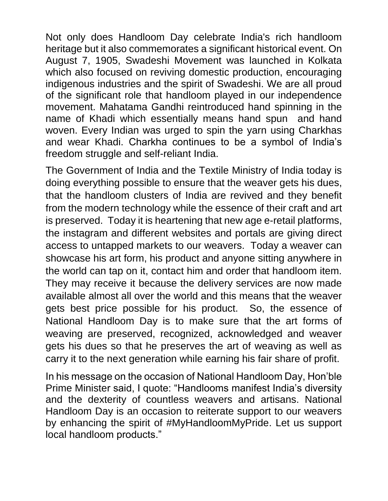Not only does Handloom Day celebrate India's rich handloom heritage but it also commemorates a significant historical event. On August 7, 1905, Swadeshi Movement was launched in Kolkata which also focused on reviving domestic production, encouraging indigenous industries and the spirit of Swadeshi. We are all proud of the significant role that handloom played in our independence movement. Mahatama Gandhi reintroduced hand spinning in the name of Khadi which essentially means hand spun and hand woven. Every Indian was urged to spin the yarn using Charkhas and wear Khadi. Charkha continues to be a symbol of India's freedom struggle and self-reliant India.

The Government of India and the Textile Ministry of India today is doing everything possible to ensure that the weaver gets his dues, that the handloom clusters of India are revived and they benefit from the modern technology while the essence of their craft and art is preserved. Today it is heartening that new age e-retail platforms, the instagram and different websites and portals are giving direct access to untapped markets to our weavers. Today a weaver can showcase his art form, his product and anyone sitting anywhere in the world can tap on it, contact him and order that handloom item. They may receive it because the delivery services are now made available almost all over the world and this means that the weaver gets best price possible for his product. So, the essence of National Handloom Day is to make sure that the art forms of weaving are preserved, recognized, acknowledged and weaver gets his dues so that he preserves the art of weaving as well as carry it to the next generation while earning his fair share of profit.

In his message on the occasion of National Handloom Day, Hon'ble Prime Minister said, I quote: "Handlooms manifest India's diversity and the dexterity of countless weavers and artisans. National Handloom Day is an occasion to reiterate support to our weavers by enhancing the spirit of #MyHandloomMyPride. Let us support local handloom products."